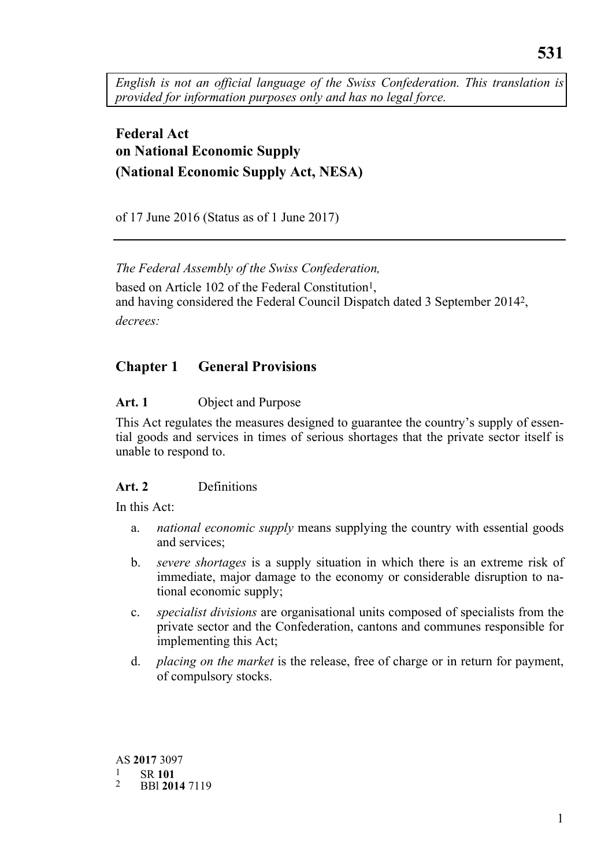*English is not an official language of the Swiss Confederation. This translation is provided for information purposes only and has no legal force.* 

# **Federal Act on National Economic Supply (National Economic Supply Act, NESA)**

of 17 June 2016 (Status as of 1 June 2017)

*The Federal Assembly of the Swiss Confederation,*  based on Article 102 of the Federal Constitution<sup>1</sup>, and having considered the Federal Council Dispatch dated 3 September 20142, *decrees:* 

# **Chapter 1 General Provisions**

## **Art. 1** Object and Purpose

This Act regulates the measures designed to guarantee the country's supply of essential goods and services in times of serious shortages that the private sector itself is unable to respond to.

### **Art. 2** Definitions

In this Act:

- a. *national economic supply* means supplying the country with essential goods and services;
- b. *severe shortages* is a supply situation in which there is an extreme risk of immediate, major damage to the economy or considerable disruption to national economic supply;
- c. *specialist divisions* are organisational units composed of specialists from the private sector and the Confederation, cantons and communes responsible for implementing this Act;
- d. *placing on the market* is the release, free of charge or in return for payment, of compulsory stocks.

 AS **2017** 3097 1 SR **<sup>101</sup>** 2 BBl **2014**<sup>7119</sup>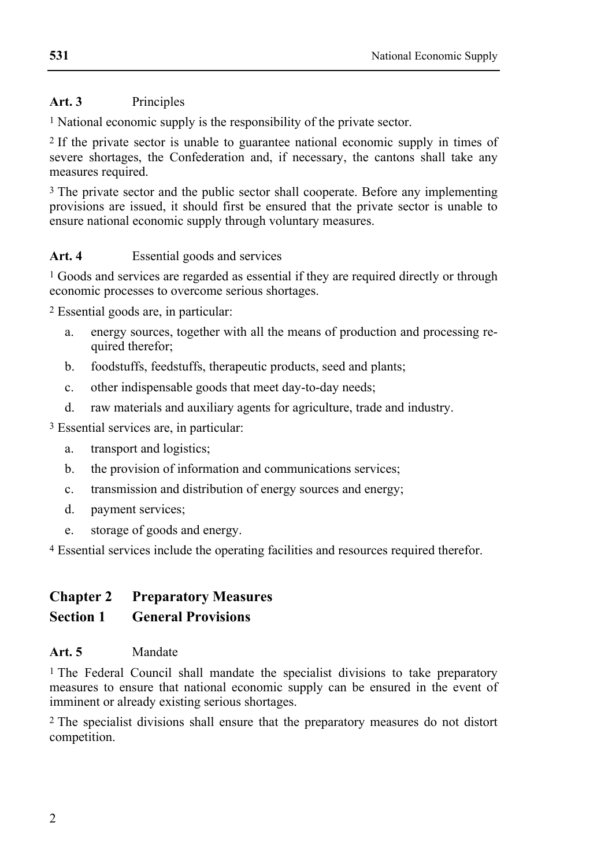## **Art. 3** Principles

1 National economic supply is the responsibility of the private sector.

2 If the private sector is unable to guarantee national economic supply in times of severe shortages, the Confederation and, if necessary, the cantons shall take any measures required.

<sup>3</sup> The private sector and the public sector shall cooperate. Before any implementing provisions are issued, it should first be ensured that the private sector is unable to ensure national economic supply through voluntary measures.

### Art. 4 **Essential goods and services**

1 Goods and services are regarded as essential if they are required directly or through economic processes to overcome serious shortages.

2 Essential goods are, in particular:

- a. energy sources, together with all the means of production and processing required therefor;
- b. foodstuffs, feedstuffs, therapeutic products, seed and plants;
- c. other indispensable goods that meet day-to-day needs;
- d. raw materials and auxiliary agents for agriculture, trade and industry.

3 Essential services are, in particular:

- a. transport and logistics;
- b. the provision of information and communications services;
- c. transmission and distribution of energy sources and energy;
- d. payment services;
- e. storage of goods and energy.

4 Essential services include the operating facilities and resources required therefor.

## **Chapter 2 Preparatory Measures Section 1 General Provisions**

### **Art. 5** Mandate

1 The Federal Council shall mandate the specialist divisions to take preparatory measures to ensure that national economic supply can be ensured in the event of imminent or already existing serious shortages.

2 The specialist divisions shall ensure that the preparatory measures do not distort competition.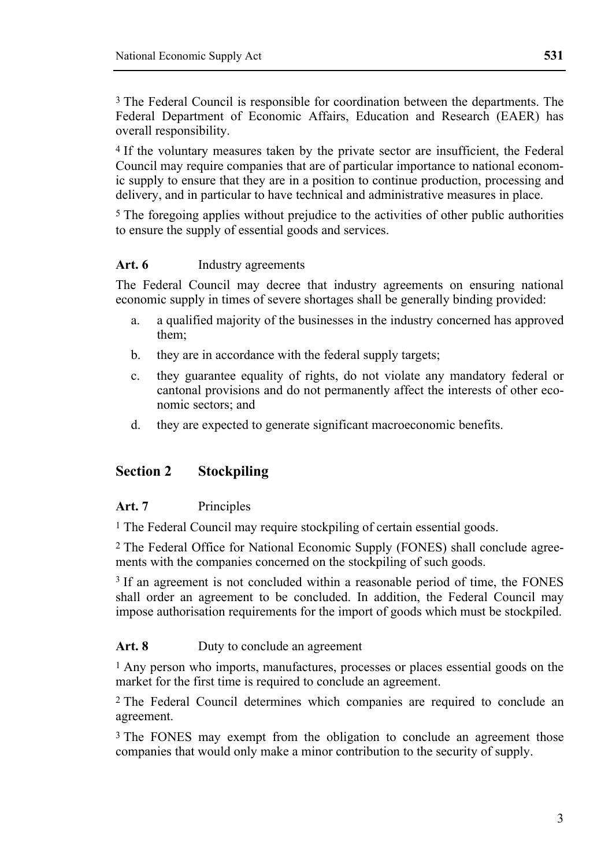3 The Federal Council is responsible for coordination between the departments. The Federal Department of Economic Affairs, Education and Research (EAER) has overall responsibility.

4 If the voluntary measures taken by the private sector are insufficient, the Federal Council may require companies that are of particular importance to national economic supply to ensure that they are in a position to continue production, processing and delivery, and in particular to have technical and administrative measures in place.

5 The foregoing applies without prejudice to the activities of other public authorities to ensure the supply of essential goods and services.

#### **Art. 6** Industry agreements

The Federal Council may decree that industry agreements on ensuring national economic supply in times of severe shortages shall be generally binding provided:

- a. a qualified majority of the businesses in the industry concerned has approved them;
- b. they are in accordance with the federal supply targets;
- c. they guarantee equality of rights, do not violate any mandatory federal or cantonal provisions and do not permanently affect the interests of other economic sectors; and
- d. they are expected to generate significant macroeconomic benefits.

#### **Section 2 Stockpiling**

#### **Art. 7** Principles

1 The Federal Council may require stockpiling of certain essential goods.

2 The Federal Office for National Economic Supply (FONES) shall conclude agreements with the companies concerned on the stockpiling of such goods.

<sup>3</sup> If an agreement is not concluded within a reasonable period of time, the FONES shall order an agreement to be concluded. In addition, the Federal Council may impose authorisation requirements for the import of goods which must be stockpiled.

#### Art. 8 Duty to conclude an agreement

1 Any person who imports, manufactures, processes or places essential goods on the market for the first time is required to conclude an agreement.

2 The Federal Council determines which companies are required to conclude an agreement.

3 The FONES may exempt from the obligation to conclude an agreement those companies that would only make a minor contribution to the security of supply.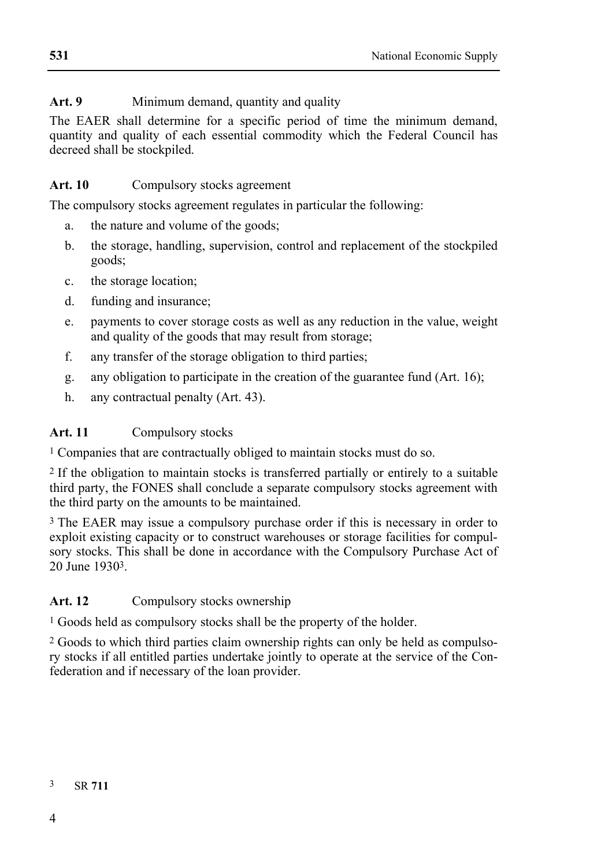## Art. 9 Minimum demand, quantity and quality

The EAER shall determine for a specific period of time the minimum demand, quantity and quality of each essential commodity which the Federal Council has decreed shall be stockpiled.

### Art. 10 Compulsory stocks agreement

The compulsory stocks agreement regulates in particular the following:

- a. the nature and volume of the goods;
- b. the storage, handling, supervision, control and replacement of the stockpiled goods;
- c. the storage location;
- d. funding and insurance;
- e. payments to cover storage costs as well as any reduction in the value, weight and quality of the goods that may result from storage;
- f. any transfer of the storage obligation to third parties;
- g. any obligation to participate in the creation of the guarantee fund (Art. 16);
- h. any contractual penalty (Art. 43).

#### **Art. 11** Compulsory stocks

1 Companies that are contractually obliged to maintain stocks must do so.

2 If the obligation to maintain stocks is transferred partially or entirely to a suitable third party, the FONES shall conclude a separate compulsory stocks agreement with the third party on the amounts to be maintained.

3 The EAER may issue a compulsory purchase order if this is necessary in order to exploit existing capacity or to construct warehouses or storage facilities for compulsory stocks. This shall be done in accordance with the Compulsory Purchase Act of 20 June 19303.

### Art. 12 Compulsory stocks ownership

1 Goods held as compulsory stocks shall be the property of the holder.

2 Goods to which third parties claim ownership rights can only be held as compulsory stocks if all entitled parties undertake jointly to operate at the service of the Confederation and if necessary of the loan provider.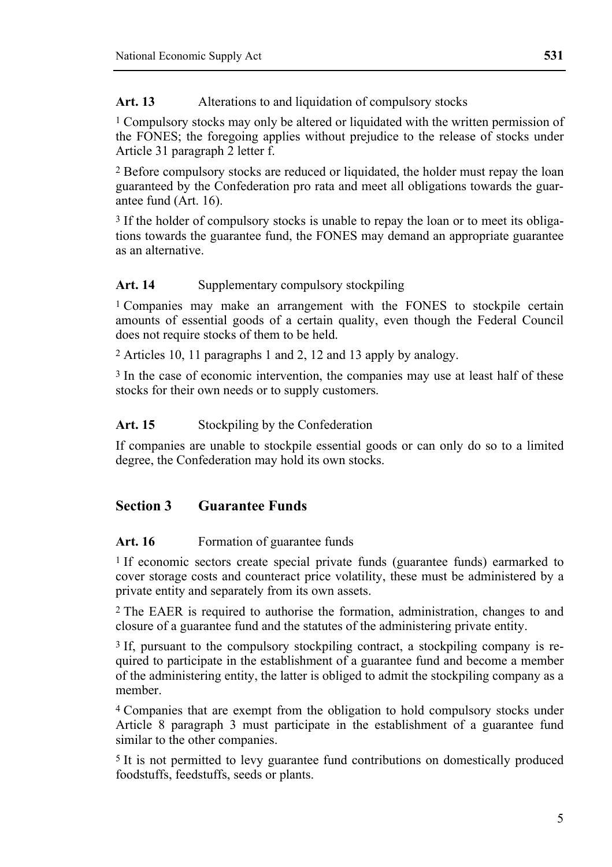1 Compulsory stocks may only be altered or liquidated with the written permission of the FONES; the foregoing applies without prejudice to the release of stocks under Article 31 paragraph 2 letter f.

2 Before compulsory stocks are reduced or liquidated, the holder must repay the loan guaranteed by the Confederation pro rata and meet all obligations towards the guarantee fund (Art. 16).

<sup>3</sup> If the holder of compulsory stocks is unable to repay the loan or to meet its obligations towards the guarantee fund, the FONES may demand an appropriate guarantee as an alternative.

#### Art. 14 Supplementary compulsory stockpiling

1 Companies may make an arrangement with the FONES to stockpile certain amounts of essential goods of a certain quality, even though the Federal Council does not require stocks of them to be held.

2 Articles 10, 11 paragraphs 1 and 2, 12 and 13 apply by analogy.

3 In the case of economic intervention, the companies may use at least half of these stocks for their own needs or to supply customers.

#### Art. 15 Stockpiling by the Confederation

If companies are unable to stockpile essential goods or can only do so to a limited degree, the Confederation may hold its own stocks.

### **Section 3 Guarantee Funds**

#### Art. 16 Formation of guarantee funds

1 If economic sectors create special private funds (guarantee funds) earmarked to cover storage costs and counteract price volatility, these must be administered by a private entity and separately from its own assets.

2 The EAER is required to authorise the formation, administration, changes to and closure of a guarantee fund and the statutes of the administering private entity.

3 If, pursuant to the compulsory stockpiling contract, a stockpiling company is required to participate in the establishment of a guarantee fund and become a member of the administering entity, the latter is obliged to admit the stockpiling company as a member.

4 Companies that are exempt from the obligation to hold compulsory stocks under Article 8 paragraph 3 must participate in the establishment of a guarantee fund similar to the other companies.

5 It is not permitted to levy guarantee fund contributions on domestically produced foodstuffs, feedstuffs, seeds or plants.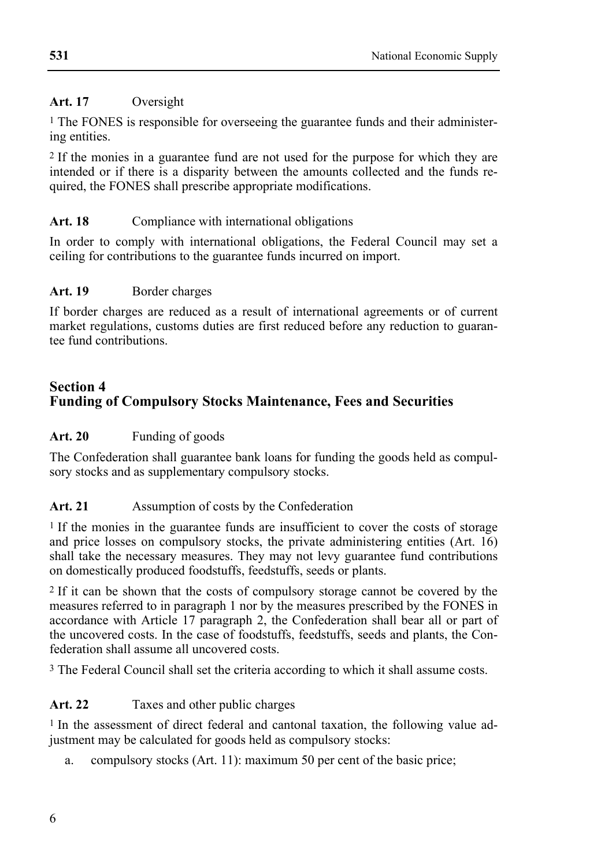### **Art. 17** Oversight

1 The FONES is responsible for overseeing the guarantee funds and their administering entities.

2 If the monies in a guarantee fund are not used for the purpose for which they are intended or if there is a disparity between the amounts collected and the funds required, the FONES shall prescribe appropriate modifications.

## Art. 18 Compliance with international obligations

In order to comply with international obligations, the Federal Council may set a ceiling for contributions to the guarantee funds incurred on import.

### Art. 19 Border charges

If border charges are reduced as a result of international agreements or of current market regulations, customs duties are first reduced before any reduction to guarantee fund contributions.

## **Section 4 Funding of Compulsory Stocks Maintenance, Fees and Securities**

## Art. 20 Funding of goods

The Confederation shall guarantee bank loans for funding the goods held as compulsory stocks and as supplementary compulsory stocks.

### Art. 21 Assumption of costs by the Confederation

1 If the monies in the guarantee funds are insufficient to cover the costs of storage and price losses on compulsory stocks, the private administering entities (Art. 16) shall take the necessary measures. They may not levy guarantee fund contributions on domestically produced foodstuffs, feedstuffs, seeds or plants.

2 If it can be shown that the costs of compulsory storage cannot be covered by the measures referred to in paragraph 1 nor by the measures prescribed by the FONES in accordance with Article 17 paragraph 2, the Confederation shall bear all or part of the uncovered costs. In the case of foodstuffs, feedstuffs, seeds and plants, the Confederation shall assume all uncovered costs.

3 The Federal Council shall set the criteria according to which it shall assume costs.

### **Art. 22** Taxes and other public charges

1 In the assessment of direct federal and cantonal taxation, the following value adjustment may be calculated for goods held as compulsory stocks:

a. compulsory stocks (Art. 11): maximum 50 per cent of the basic price;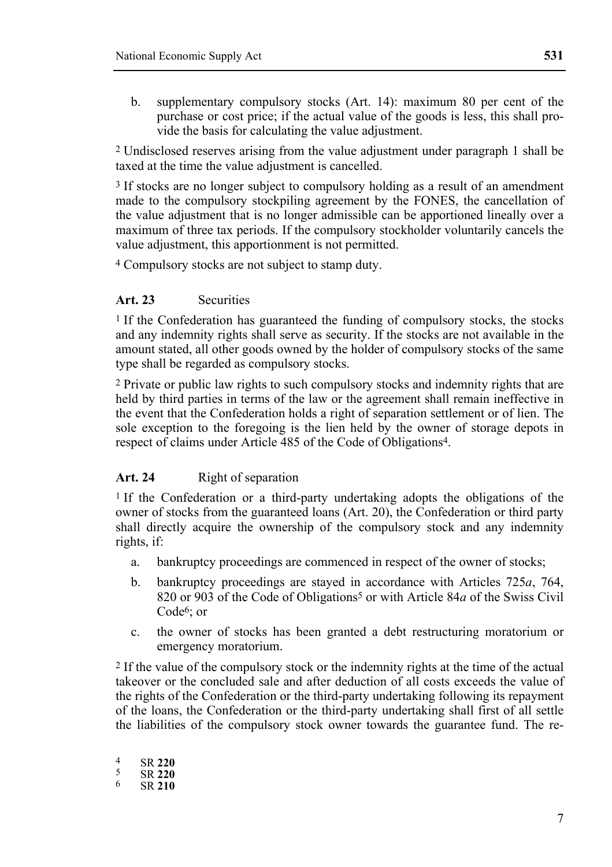b. supplementary compulsory stocks (Art. 14): maximum 80 per cent of the purchase or cost price; if the actual value of the goods is less, this shall provide the basis for calculating the value adjustment.

2 Undisclosed reserves arising from the value adjustment under paragraph 1 shall be taxed at the time the value adjustment is cancelled.

<sup>3</sup> If stocks are no longer subject to compulsory holding as a result of an amendment made to the compulsory stockpiling agreement by the FONES, the cancellation of the value adjustment that is no longer admissible can be apportioned lineally over a maximum of three tax periods. If the compulsory stockholder voluntarily cancels the value adjustment, this apportionment is not permitted.

4 Compulsory stocks are not subject to stamp duty.

#### **Art. 23** Securities

1 If the Confederation has guaranteed the funding of compulsory stocks, the stocks and any indemnity rights shall serve as security. If the stocks are not available in the amount stated, all other goods owned by the holder of compulsory stocks of the same type shall be regarded as compulsory stocks.

2 Private or public law rights to such compulsory stocks and indemnity rights that are held by third parties in terms of the law or the agreement shall remain ineffective in the event that the Confederation holds a right of separation settlement or of lien. The sole exception to the foregoing is the lien held by the owner of storage depots in respect of claims under Article 485 of the Code of Obligations4.

#### Art. 24 **Right of separation**

1 If the Confederation or a third-party undertaking adopts the obligations of the owner of stocks from the guaranteed loans (Art. 20), the Confederation or third party shall directly acquire the ownership of the compulsory stock and any indemnity rights, if:

- a. bankruptcy proceedings are commenced in respect of the owner of stocks;
- b. bankruptcy proceedings are stayed in accordance with Articles 725*a*, 764, 820 or 903 of the Code of Obligations<sup>5</sup> or with Article 84*a* of the Swiss Civil Code6; or
- c. the owner of stocks has been granted a debt restructuring moratorium or emergency moratorium.

2 If the value of the compulsory stock or the indemnity rights at the time of the actual takeover or the concluded sale and after deduction of all costs exceeds the value of the rights of the Confederation or the third-party undertaking following its repayment of the loans, the Confederation or the third-party undertaking shall first of all settle the liabilities of the compulsory stock owner towards the guarantee fund. The re-

| 4 | SR 220 |
|---|--------|
| ╮ | SR 220 |
| 6 | SR 210 |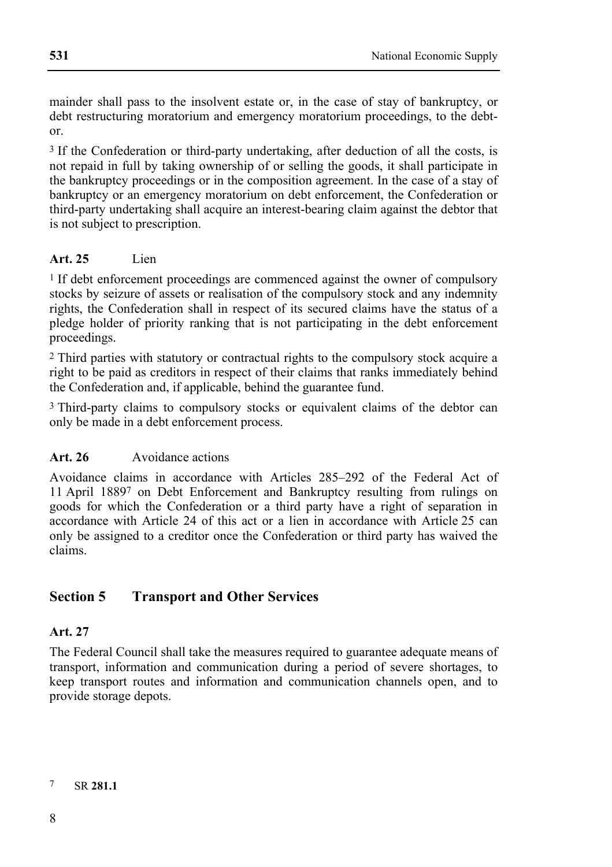mainder shall pass to the insolvent estate or, in the case of stay of bankruptcy, or debt restructuring moratorium and emergency moratorium proceedings, to the debtor.

<sup>3</sup> If the Confederation or third-party undertaking, after deduction of all the costs, is not repaid in full by taking ownership of or selling the goods, it shall participate in the bankruptcy proceedings or in the composition agreement. In the case of a stay of bankruptcy or an emergency moratorium on debt enforcement, the Confederation or third-party undertaking shall acquire an interest-bearing claim against the debtor that is not subject to prescription.

#### **Art. 25** Lien

<sup>1</sup> If debt enforcement proceedings are commenced against the owner of compulsory stocks by seizure of assets or realisation of the compulsory stock and any indemnity rights, the Confederation shall in respect of its secured claims have the status of a pledge holder of priority ranking that is not participating in the debt enforcement proceedings.

2 Third parties with statutory or contractual rights to the compulsory stock acquire a right to be paid as creditors in respect of their claims that ranks immediately behind the Confederation and, if applicable, behind the guarantee fund.

3 Third-party claims to compulsory stocks or equivalent claims of the debtor can only be made in a debt enforcement process.

#### **Art. 26** Avoidance actions

Avoidance claims in accordance with Articles 285–292 of the Federal Act of 11 April 18897 on Debt Enforcement and Bankruptcy resulting from rulings on goods for which the Confederation or a third party have a right of separation in accordance with Article 24 of this act or a lien in accordance with Article 25 can only be assigned to a creditor once the Confederation or third party has waived the claims.

## **Section 5 Transport and Other Services**

#### **Art. 27**

The Federal Council shall take the measures required to guarantee adequate means of transport, information and communication during a period of severe shortages, to keep transport routes and information and communication channels open, and to provide storage depots.

7 SR **281.1**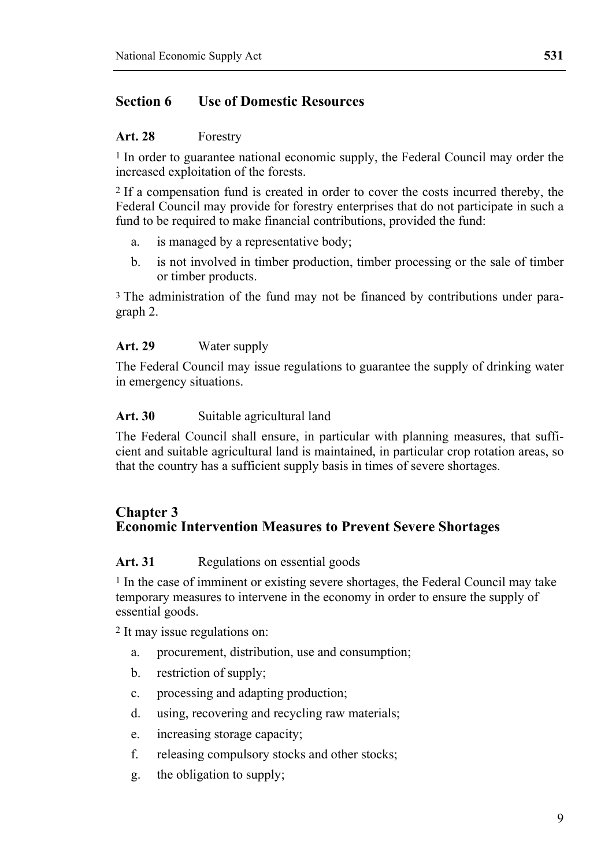## **Section 6 Use of Domestic Resources**

#### **Art. 28** Forestry

1 In order to guarantee national economic supply, the Federal Council may order the increased exploitation of the forests.

2 If a compensation fund is created in order to cover the costs incurred thereby, the Federal Council may provide for forestry enterprises that do not participate in such a fund to be required to make financial contributions, provided the fund:

- a. is managed by a representative body;
- b. is not involved in timber production, timber processing or the sale of timber or timber products.

<sup>3</sup> The administration of the fund may not be financed by contributions under paragraph 2.

#### **Art. 29** Water supply

The Federal Council may issue regulations to guarantee the supply of drinking water in emergency situations.

#### Art. 30 **Suitable agricultural land**

The Federal Council shall ensure, in particular with planning measures, that sufficient and suitable agricultural land is maintained, in particular crop rotation areas, so that the country has a sufficient supply basis in times of severe shortages.

#### **Chapter 3 Economic Intervention Measures to Prevent Severe Shortages**

#### Art. 31 **Regulations on essential goods**

1 In the case of imminent or existing severe shortages, the Federal Council may take temporary measures to intervene in the economy in order to ensure the supply of essential goods.

2 It may issue regulations on:

- a. procurement, distribution, use and consumption;
- b. restriction of supply;
- c. processing and adapting production;
- d. using, recovering and recycling raw materials;
- e. increasing storage capacity;
- f. releasing compulsory stocks and other stocks;
- g. the obligation to supply;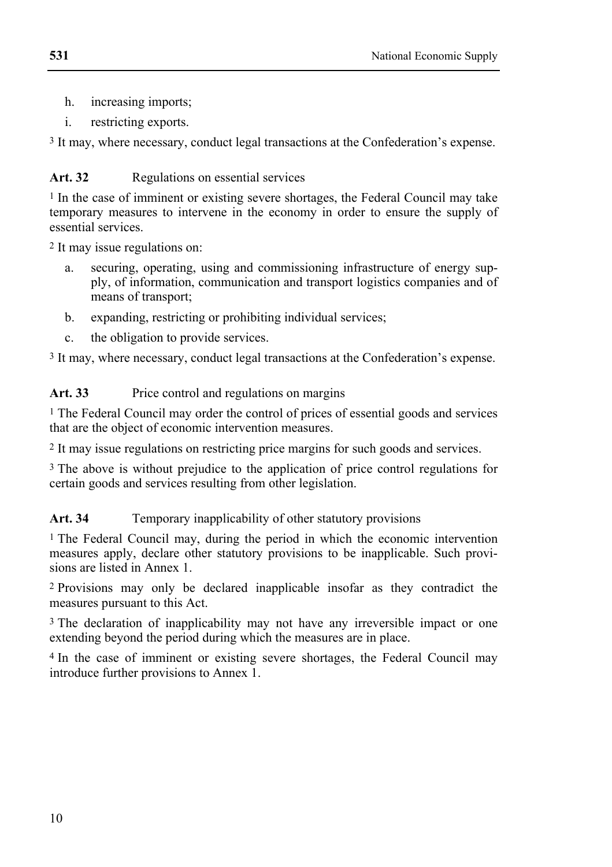- h. increasing imports;
- i. restricting exports.

3 It may, where necessary, conduct legal transactions at the Confederation's expense.

#### Art. 32 **Regulations on essential services**

1 In the case of imminent or existing severe shortages, the Federal Council may take temporary measures to intervene in the economy in order to ensure the supply of essential services.

2 It may issue regulations on:

- a. securing, operating, using and commissioning infrastructure of energy supply, of information, communication and transport logistics companies and of means of transport;
- b. expanding, restricting or prohibiting individual services;
- c. the obligation to provide services.

3 It may, where necessary, conduct legal transactions at the Confederation's expense.

### Art. 33 Price control and regulations on margins

1 The Federal Council may order the control of prices of essential goods and services that are the object of economic intervention measures.

2 It may issue regulations on restricting price margins for such goods and services.

3 The above is without prejudice to the application of price control regulations for certain goods and services resulting from other legislation.

### Art. 34 **Temporary inapplicability of other statutory provisions**

1 The Federal Council may, during the period in which the economic intervention measures apply, declare other statutory provisions to be inapplicable. Such provisions are listed in Annex 1.

2 Provisions may only be declared inapplicable insofar as they contradict the measures pursuant to this Act.

<sup>3</sup> The declaration of inapplicability may not have any irreversible impact or one extending beyond the period during which the measures are in place.

4 In the case of imminent or existing severe shortages, the Federal Council may introduce further provisions to Annex 1.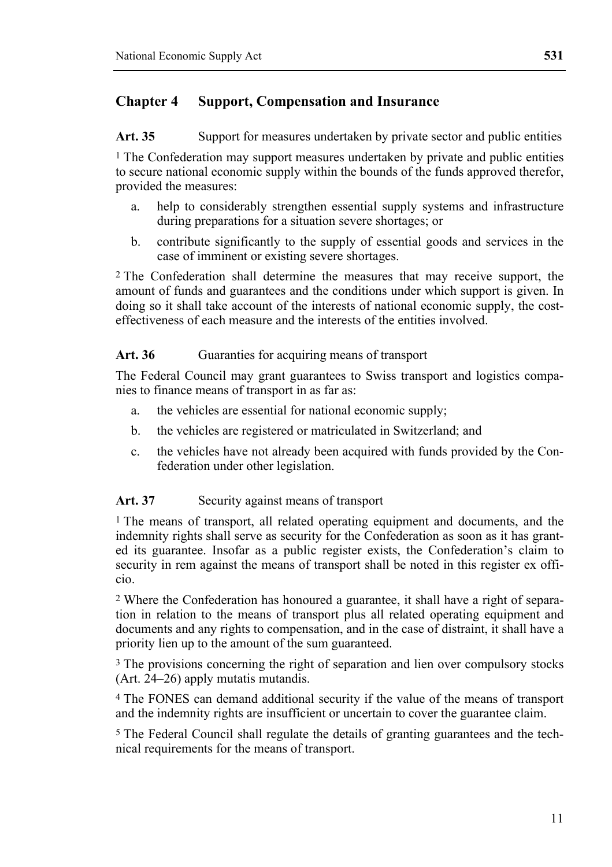## **Chapter 4 Support, Compensation and Insurance**

Art. 35 Support for measures undertaken by private sector and public entities

<sup>1</sup> The Confederation may support measures undertaken by private and public entities to secure national economic supply within the bounds of the funds approved therefor, provided the measures:

- a. help to considerably strengthen essential supply systems and infrastructure during preparations for a situation severe shortages; or
- b. contribute significantly to the supply of essential goods and services in the case of imminent or existing severe shortages.

2 The Confederation shall determine the measures that may receive support, the amount of funds and guarantees and the conditions under which support is given. In doing so it shall take account of the interests of national economic supply, the costeffectiveness of each measure and the interests of the entities involved.

#### Art. 36 Guaranties for acquiring means of transport

The Federal Council may grant guarantees to Swiss transport and logistics companies to finance means of transport in as far as:

- a. the vehicles are essential for national economic supply;
- b. the vehicles are registered or matriculated in Switzerland; and
- c. the vehicles have not already been acquired with funds provided by the Confederation under other legislation.

#### Art. 37 Security against means of transport

<sup>1</sup> The means of transport, all related operating equipment and documents, and the indemnity rights shall serve as security for the Confederation as soon as it has granted its guarantee. Insofar as a public register exists, the Confederation's claim to security in rem against the means of transport shall be noted in this register ex officio.

2 Where the Confederation has honoured a guarantee, it shall have a right of separation in relation to the means of transport plus all related operating equipment and documents and any rights to compensation, and in the case of distraint, it shall have a priority lien up to the amount of the sum guaranteed.

3 The provisions concerning the right of separation and lien over compulsory stocks (Art. 24–26) apply mutatis mutandis.

4 The FONES can demand additional security if the value of the means of transport and the indemnity rights are insufficient or uncertain to cover the guarantee claim.

5 The Federal Council shall regulate the details of granting guarantees and the technical requirements for the means of transport.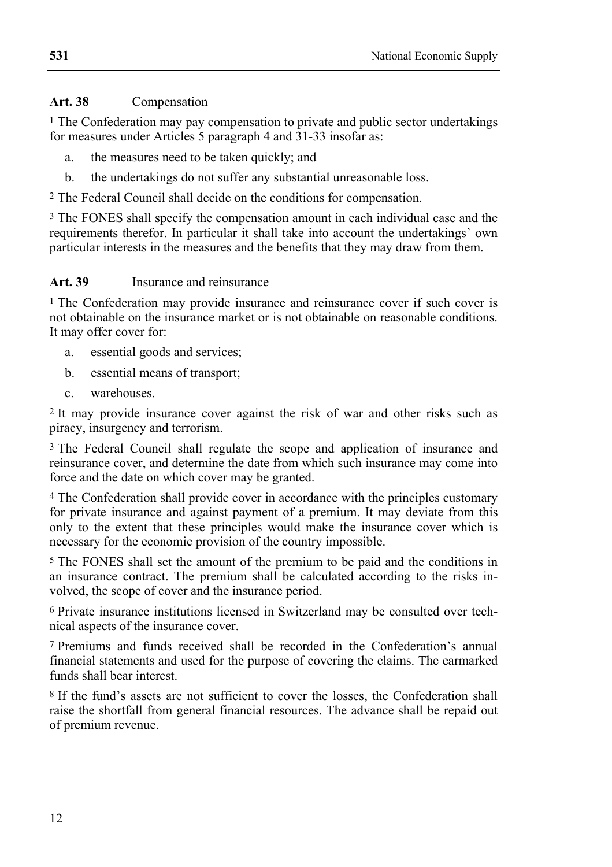#### **Art. 38** Compensation

1 The Confederation may pay compensation to private and public sector undertakings for measures under Articles 5 paragraph 4 and 31-33 insofar as:

- a. the measures need to be taken quickly; and
- b. the undertakings do not suffer any substantial unreasonable loss.

2 The Federal Council shall decide on the conditions for compensation.

3 The FONES shall specify the compensation amount in each individual case and the requirements therefor. In particular it shall take into account the undertakings' own particular interests in the measures and the benefits that they may draw from them.

#### **Art. 39** Insurance and reinsurance

<sup>1</sup> The Confederation may provide insurance and reinsurance cover if such cover is not obtainable on the insurance market or is not obtainable on reasonable conditions. It may offer cover for:

- a. essential goods and services;
- b. essential means of transport;
- c. warehouses.

2 It may provide insurance cover against the risk of war and other risks such as piracy, insurgency and terrorism.

3 The Federal Council shall regulate the scope and application of insurance and reinsurance cover, and determine the date from which such insurance may come into force and the date on which cover may be granted.

4 The Confederation shall provide cover in accordance with the principles customary for private insurance and against payment of a premium. It may deviate from this only to the extent that these principles would make the insurance cover which is necessary for the economic provision of the country impossible.

5 The FONES shall set the amount of the premium to be paid and the conditions in an insurance contract. The premium shall be calculated according to the risks involved, the scope of cover and the insurance period.

6 Private insurance institutions licensed in Switzerland may be consulted over technical aspects of the insurance cover.

7 Premiums and funds received shall be recorded in the Confederation's annual financial statements and used for the purpose of covering the claims. The earmarked funds shall bear interest.

8 If the fund's assets are not sufficient to cover the losses, the Confederation shall raise the shortfall from general financial resources. The advance shall be repaid out of premium revenue.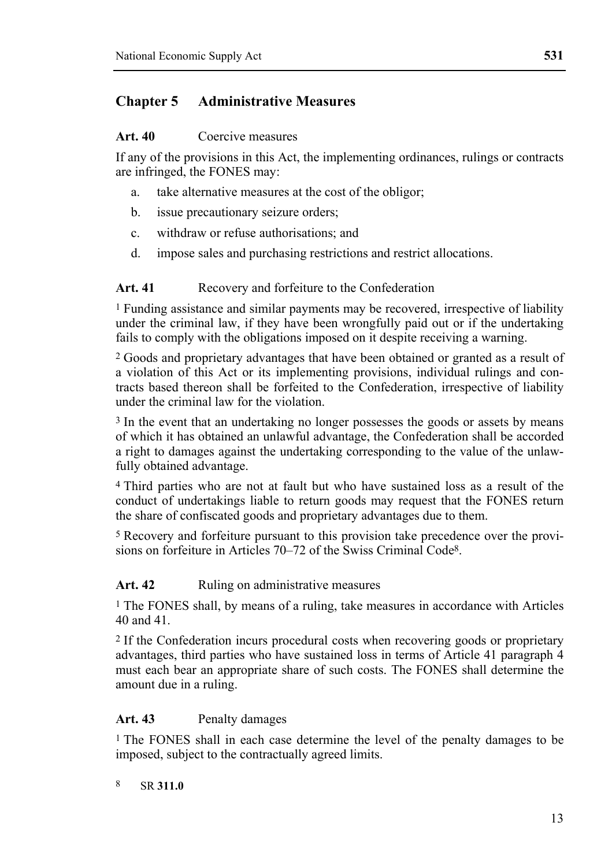## **Chapter 5 Administrative Measures**

#### **Art. 40** Coercive measures

If any of the provisions in this Act, the implementing ordinances, rulings or contracts are infringed, the FONES may:

- a. take alternative measures at the cost of the obligor;
- b. issue precautionary seizure orders;
- c. withdraw or refuse authorisations; and
- d. impose sales and purchasing restrictions and restrict allocations.

#### Art. 41 Recovery and forfeiture to the Confederation

1 Funding assistance and similar payments may be recovered, irrespective of liability under the criminal law, if they have been wrongfully paid out or if the undertaking fails to comply with the obligations imposed on it despite receiving a warning.

2 Goods and proprietary advantages that have been obtained or granted as a result of a violation of this Act or its implementing provisions, individual rulings and contracts based thereon shall be forfeited to the Confederation, irrespective of liability under the criminal law for the violation.

3 In the event that an undertaking no longer possesses the goods or assets by means of which it has obtained an unlawful advantage, the Confederation shall be accorded a right to damages against the undertaking corresponding to the value of the unlawfully obtained advantage.

4 Third parties who are not at fault but who have sustained loss as a result of the conduct of undertakings liable to return goods may request that the FONES return the share of confiscated goods and proprietary advantages due to them.

5 Recovery and forfeiture pursuant to this provision take precedence over the provisions on forfeiture in Articles 70–72 of the Swiss Criminal Code<sup>8</sup>.

#### Art. 42 Ruling on administrative measures

1 The FONES shall, by means of a ruling, take measures in accordance with Articles 40 and 41.

2 If the Confederation incurs procedural costs when recovering goods or proprietary advantages, third parties who have sustained loss in terms of Article 41 paragraph 4 must each bear an appropriate share of such costs. The FONES shall determine the amount due in a ruling.

#### Art. 43 Penalty damages

<sup>1</sup> The FONES shall in each case determine the level of the penalty damages to be imposed, subject to the contractually agreed limits.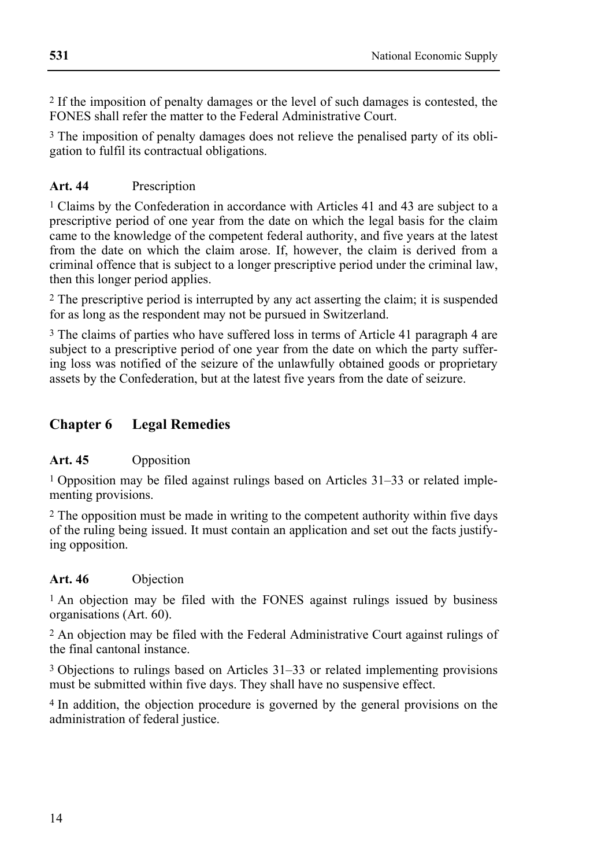2 If the imposition of penalty damages or the level of such damages is contested, the FONES shall refer the matter to the Federal Administrative Court.

3 The imposition of penalty damages does not relieve the penalised party of its obligation to fulfil its contractual obligations.

## **Art. 44** Prescription

1 Claims by the Confederation in accordance with Articles 41 and 43 are subject to a prescriptive period of one year from the date on which the legal basis for the claim came to the knowledge of the competent federal authority, and five years at the latest from the date on which the claim arose. If, however, the claim is derived from a criminal offence that is subject to a longer prescriptive period under the criminal law, then this longer period applies.

2 The prescriptive period is interrupted by any act asserting the claim; it is suspended for as long as the respondent may not be pursued in Switzerland.

3 The claims of parties who have suffered loss in terms of Article 41 paragraph 4 are subject to a prescriptive period of one year from the date on which the party suffering loss was notified of the seizure of the unlawfully obtained goods or proprietary assets by the Confederation, but at the latest five years from the date of seizure.

## **Chapter 6 Legal Remedies**

### **Art. 45** Opposition

1 Opposition may be filed against rulings based on Articles 31–33 or related implementing provisions.

2 The opposition must be made in writing to the competent authority within five days of the ruling being issued. It must contain an application and set out the facts justifying opposition.

### **Art. 46** Objection

<sup>1</sup> An objection may be filed with the FONES against rulings issued by business organisations (Art. 60).

2 An objection may be filed with the Federal Administrative Court against rulings of the final cantonal instance.

3 Objections to rulings based on Articles 31–33 or related implementing provisions must be submitted within five days. They shall have no suspensive effect.

4 In addition, the objection procedure is governed by the general provisions on the administration of federal justice.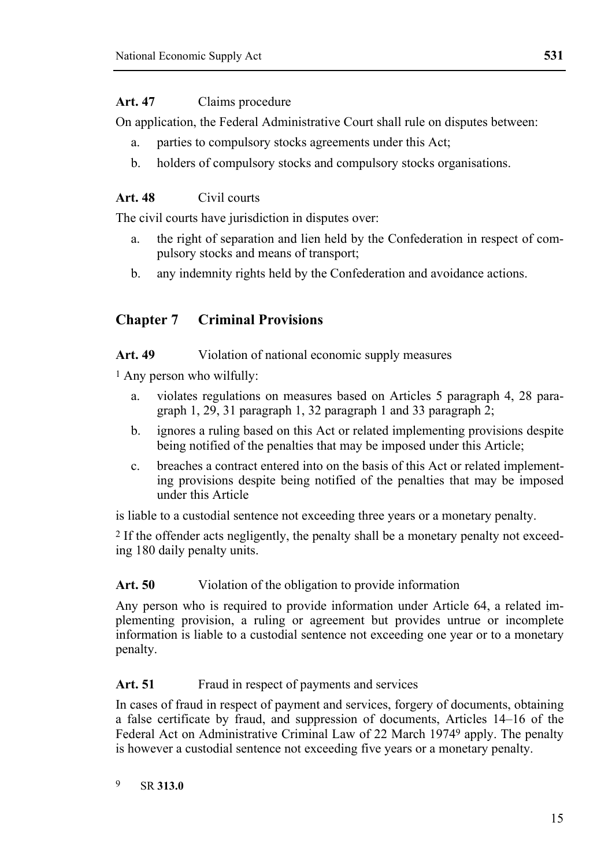#### **Art. 47** Claims procedure

On application, the Federal Administrative Court shall rule on disputes between:

- a. parties to compulsory stocks agreements under this Act;
- b. holders of compulsory stocks and compulsory stocks organisations.

#### **Art. 48** Civil courts

The civil courts have jurisdiction in disputes over:

- a. the right of separation and lien held by the Confederation in respect of compulsory stocks and means of transport;
- b. any indemnity rights held by the Confederation and avoidance actions.

## **Chapter 7 Criminal Provisions**

#### Art. 49 Violation of national economic supply measures

1 Any person who wilfully:

- a. violates regulations on measures based on Articles 5 paragraph 4, 28 paragraph 1, 29, 31 paragraph 1, 32 paragraph 1 and 33 paragraph 2;
- b. ignores a ruling based on this Act or related implementing provisions despite being notified of the penalties that may be imposed under this Article;
- c. breaches a contract entered into on the basis of this Act or related implementing provisions despite being notified of the penalties that may be imposed under this Article

is liable to a custodial sentence not exceeding three years or a monetary penalty.

2 If the offender acts negligently, the penalty shall be a monetary penalty not exceeding 180 daily penalty units.

#### Art. 50 Violation of the obligation to provide information

Any person who is required to provide information under Article 64, a related implementing provision, a ruling or agreement but provides untrue or incomplete information is liable to a custodial sentence not exceeding one year or to a monetary penalty.

#### Art. 51 Fraud in respect of payments and services

In cases of fraud in respect of payment and services, forgery of documents, obtaining a false certificate by fraud, and suppression of documents, Articles 14–16 of the Federal Act on Administrative Criminal Law of 22 March 19749 apply. The penalty is however a custodial sentence not exceeding five years or a monetary penalty.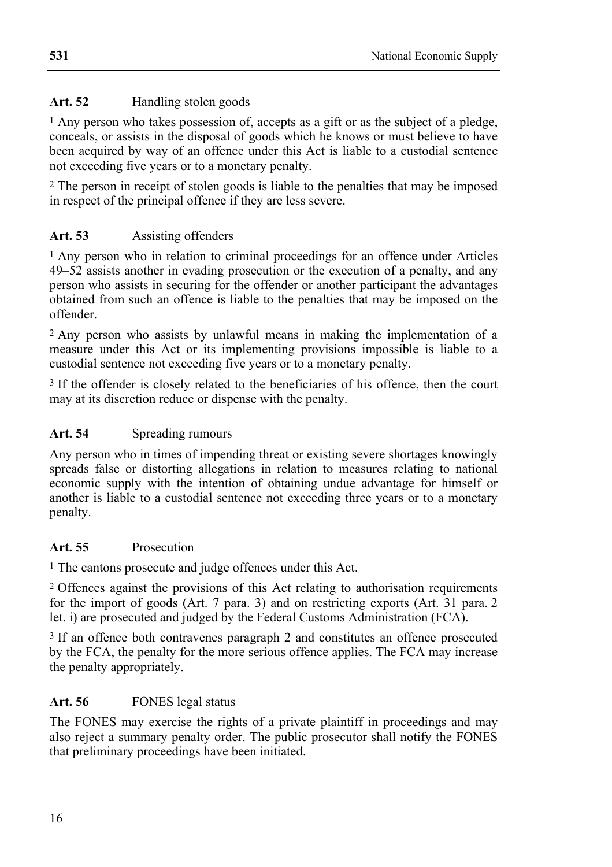### Art. 52 Handling stolen goods

1 Any person who takes possession of, accepts as a gift or as the subject of a pledge, conceals, or assists in the disposal of goods which he knows or must believe to have been acquired by way of an offence under this Act is liable to a custodial sentence not exceeding five years or to a monetary penalty.

2 The person in receipt of stolen goods is liable to the penalties that may be imposed in respect of the principal offence if they are less severe.

## **Art. 53** Assisting offenders

1 Any person who in relation to criminal proceedings for an offence under Articles 49–52 assists another in evading prosecution or the execution of a penalty, and any person who assists in securing for the offender or another participant the advantages obtained from such an offence is liable to the penalties that may be imposed on the offender.

2 Any person who assists by unlawful means in making the implementation of a measure under this Act or its implementing provisions impossible is liable to a custodial sentence not exceeding five years or to a monetary penalty.

<sup>3</sup> If the offender is closely related to the beneficiaries of his offence, then the court may at its discretion reduce or dispense with the penalty.

#### Art. 54 Spreading rumours

Any person who in times of impending threat or existing severe shortages knowingly spreads false or distorting allegations in relation to measures relating to national economic supply with the intention of obtaining undue advantage for himself or another is liable to a custodial sentence not exceeding three years or to a monetary penalty.

### **Art. 55** Prosecution

1 The cantons prosecute and judge offences under this Act.

2 Offences against the provisions of this Act relating to authorisation requirements for the import of goods (Art. 7 para. 3) and on restricting exports (Art. 31 para. 2 let. i) are prosecuted and judged by the Federal Customs Administration (FCA).

3 If an offence both contravenes paragraph 2 and constitutes an offence prosecuted by the FCA, the penalty for the more serious offence applies. The FCA may increase the penalty appropriately.

## Art. 56 FONES legal status

The FONES may exercise the rights of a private plaintiff in proceedings and may also reject a summary penalty order. The public prosecutor shall notify the FONES that preliminary proceedings have been initiated.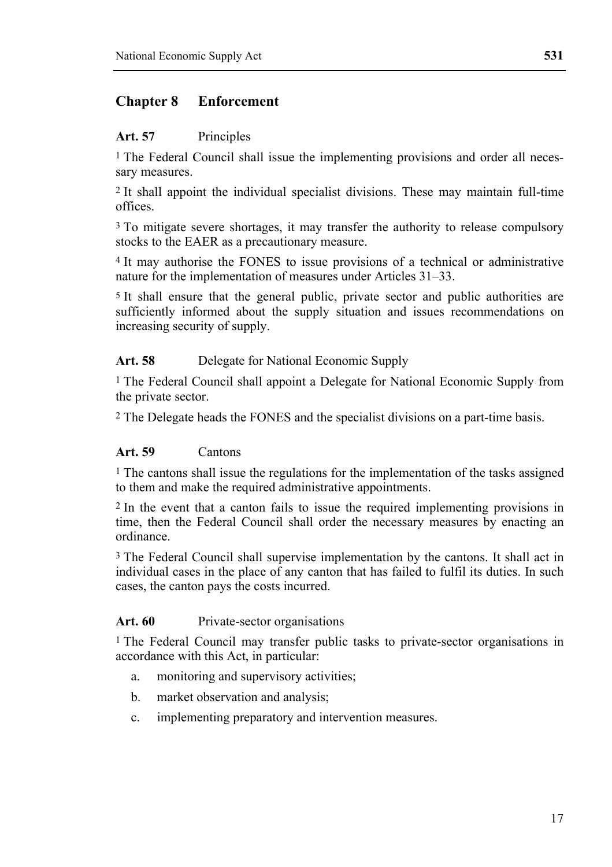## **Chapter 8 Enforcement**

#### **Art. 57** Principles

<sup>1</sup> The Federal Council shall issue the implementing provisions and order all necessary measures.

2 It shall appoint the individual specialist divisions. These may maintain full-time offices.

3 To mitigate severe shortages, it may transfer the authority to release compulsory stocks to the EAER as a precautionary measure.

4 It may authorise the FONES to issue provisions of a technical or administrative nature for the implementation of measures under Articles 31–33.

5 It shall ensure that the general public, private sector and public authorities are sufficiently informed about the supply situation and issues recommendations on increasing security of supply.

#### **Art. 58** Delegate for National Economic Supply

1 The Federal Council shall appoint a Delegate for National Economic Supply from the private sector.

2 The Delegate heads the FONES and the specialist divisions on a part-time basis.

#### **Art. 59** Cantons

1 The cantons shall issue the regulations for the implementation of the tasks assigned to them and make the required administrative appointments.

2 In the event that a canton fails to issue the required implementing provisions in time, then the Federal Council shall order the necessary measures by enacting an ordinance.

3 The Federal Council shall supervise implementation by the cantons. It shall act in individual cases in the place of any canton that has failed to fulfil its duties. In such cases, the canton pays the costs incurred.

#### Art. 60 Private-sector organisations

<sup>1</sup> The Federal Council may transfer public tasks to private-sector organisations in accordance with this Act, in particular:

- a. monitoring and supervisory activities;
- b. market observation and analysis;
- c. implementing preparatory and intervention measures.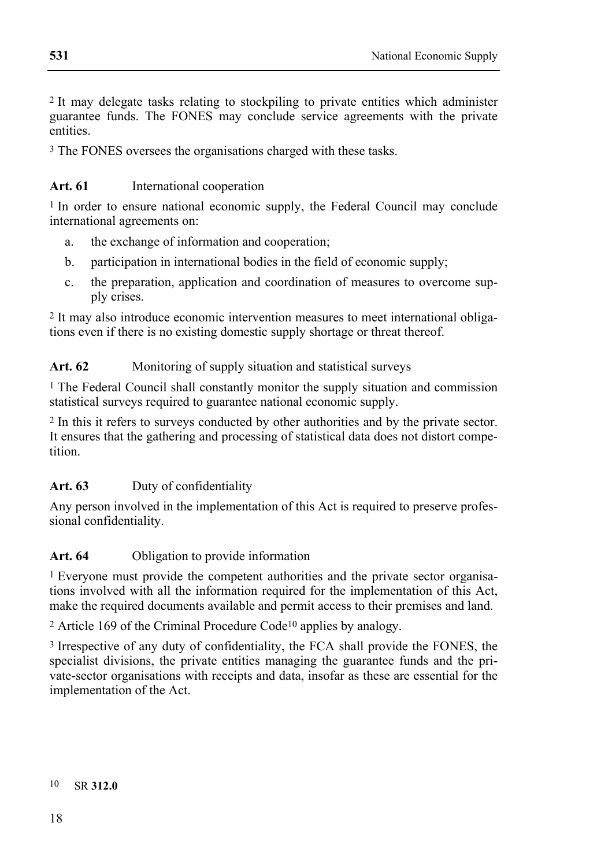2 It may delegate tasks relating to stockpiling to private entities which administer guarantee funds. The FONES may conclude service agreements with the private entities.

3 The FONES oversees the organisations charged with these tasks.

#### Art. 61 International cooperation

1 In order to ensure national economic supply, the Federal Council may conclude international agreements on:

- a. the exchange of information and cooperation;
- b. participation in international bodies in the field of economic supply;
- c. the preparation, application and coordination of measures to overcome supply crises.

2 It may also introduce economic intervention measures to meet international obligations even if there is no existing domestic supply shortage or threat thereof.

#### Art. 62 Monitoring of supply situation and statistical surveys

1 The Federal Council shall constantly monitor the supply situation and commission statistical surveys required to guarantee national economic supply.

2 In this it refers to surveys conducted by other authorities and by the private sector. It ensures that the gathering and processing of statistical data does not distort competition.

#### **Art. 63** Duty of confidentiality

Any person involved in the implementation of this Act is required to preserve professional confidentiality.

### Art. 64 Obligation to provide information

1 Everyone must provide the competent authorities and the private sector organisations involved with all the information required for the implementation of this Act, make the required documents available and permit access to their premises and land.

2 Article 169 of the Criminal Procedure Code10 applies by analogy.

3 Irrespective of any duty of confidentiality, the FCA shall provide the FONES, the specialist divisions, the private entities managing the guarantee funds and the private-sector organisations with receipts and data, insofar as these are essential for the implementation of the Act.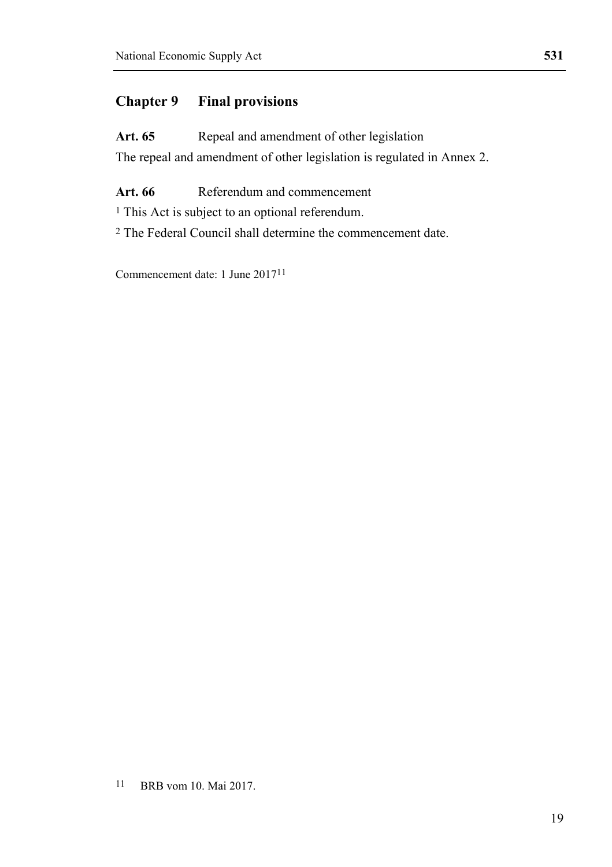## **Chapter 9 Final provisions**

Art. 65 Repeal and amendment of other legislation The repeal and amendment of other legislation is regulated in Annex 2.

**Art. 66** Referendum and commencement

<sup>1</sup> This Act is subject to an optional referendum.

2 The Federal Council shall determine the commencement date.

Commencement date: 1 June 201711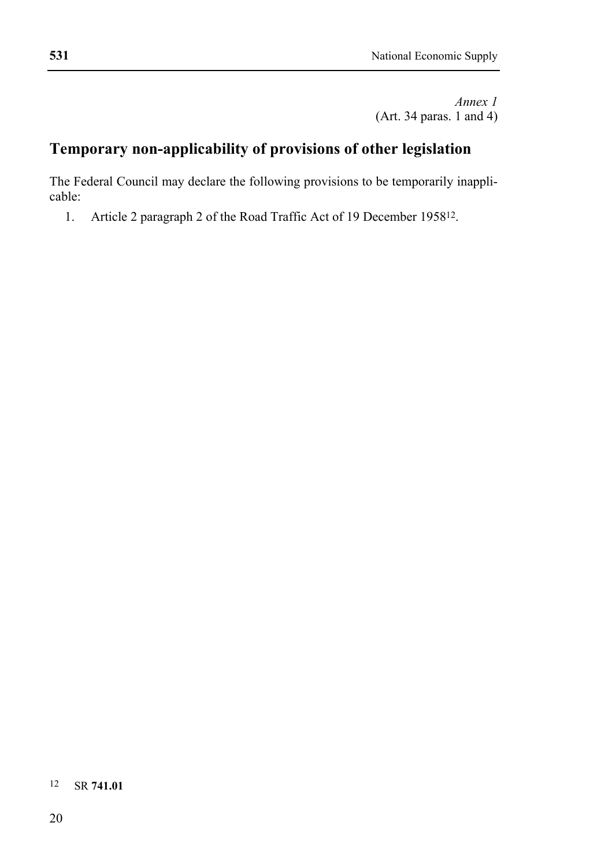*Annex 1*  (Art. 34 paras. 1 and 4)

# **Temporary non-applicability of provisions of other legislation**

The Federal Council may declare the following provisions to be temporarily inapplicable:

1. Article 2 paragraph 2 of the Road Traffic Act of 19 December 195812.

## 12 SR **741.01**